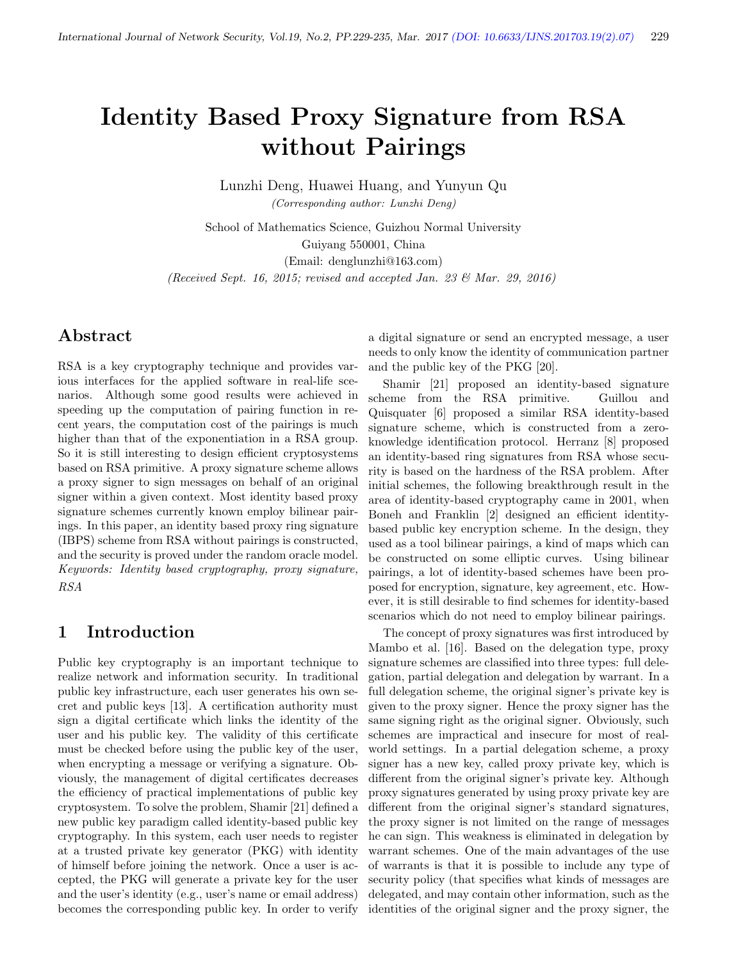# Identity Based Proxy Signature from RSA without Pairings

Lunzhi Deng, Huawei Huang, and Yunyun Qu (Corresponding author: Lunzhi Deng)

School of Mathematics Science, Guizhou Normal University Guiyang 550001, China (Email: denglunzhi@163.com) (Received Sept. 16, 2015; revised and accepted Jan. 23  $\mathcal{O}(Mar. 29, 2016)$ )

### Abstract

RSA is a key cryptography technique and provides various interfaces for the applied software in real-life scenarios. Although some good results were achieved in speeding up the computation of pairing function in recent years, the computation cost of the pairings is much higher than that of the exponentiation in a RSA group. So it is still interesting to design efficient cryptosystems based on RSA primitive. A proxy signature scheme allows a proxy signer to sign messages on behalf of an original signer within a given context. Most identity based proxy signature schemes currently known employ bilinear pairings. In this paper, an identity based proxy ring signature (IBPS) scheme from RSA without pairings is constructed, and the security is proved under the random oracle model. Keywords: Identity based cryptography, proxy signature, RSA

#### 1 Introduction

Public key cryptography is an important technique to realize network and information security. In traditional public key infrastructure, each user generates his own secret and public keys [13]. A certification authority must sign a digital certificate which links the identity of the user and his public key. The validity of this certificate must be checked before using the public key of the user, when encrypting a message or verifying a signature. Obviously, the management of digital certificates decreases the efficiency of practical implementations of public key cryptosystem. To solve the problem, Shamir [21] defined a new public key paradigm called identity-based public key cryptography. In this system, each user needs to register at a trusted private key generator (PKG) with identity of himself before joining the network. Once a user is accepted, the PKG will generate a private key for the user and the user's identity (e.g., user's name or email address) becomes the corresponding public key. In order to verify

a digital signature or send an encrypted message, a user needs to only know the identity of communication partner and the public key of the PKG [20].

Shamir [21] proposed an identity-based signature scheme from the RSA primitive. Guillou and Quisquater [6] proposed a similar RSA identity-based signature scheme, which is constructed from a zeroknowledge identification protocol. Herranz [8] proposed an identity-based ring signatures from RSA whose security is based on the hardness of the RSA problem. After initial schemes, the following breakthrough result in the area of identity-based cryptography came in 2001, when Boneh and Franklin [2] designed an efficient identitybased public key encryption scheme. In the design, they used as a tool bilinear pairings, a kind of maps which can be constructed on some elliptic curves. Using bilinear pairings, a lot of identity-based schemes have been proposed for encryption, signature, key agreement, etc. However, it is still desirable to find schemes for identity-based scenarios which do not need to employ bilinear pairings.

The concept of proxy signatures was first introduced by Mambo et al. [16]. Based on the delegation type, proxy signature schemes are classified into three types: full delegation, partial delegation and delegation by warrant. In a full delegation scheme, the original signer's private key is given to the proxy signer. Hence the proxy signer has the same signing right as the original signer. Obviously, such schemes are impractical and insecure for most of realworld settings. In a partial delegation scheme, a proxy signer has a new key, called proxy private key, which is different from the original signer's private key. Although proxy signatures generated by using proxy private key are different from the original signer's standard signatures, the proxy signer is not limited on the range of messages he can sign. This weakness is eliminated in delegation by warrant schemes. One of the main advantages of the use of warrants is that it is possible to include any type of security policy (that specifies what kinds of messages are delegated, and may contain other information, such as the identities of the original signer and the proxy signer, the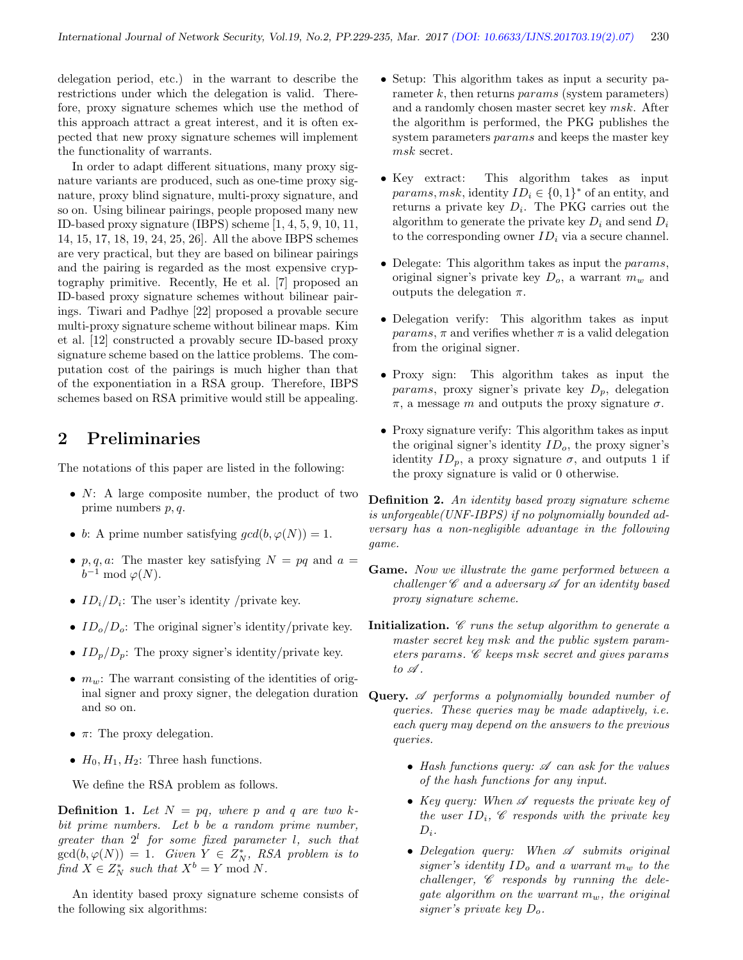delegation period, etc.) in the warrant to describe the restrictions under which the delegation is valid. Therefore, proxy signature schemes which use the method of this approach attract a great interest, and it is often expected that new proxy signature schemes will implement the functionality of warrants.

In order to adapt different situations, many proxy signature variants are produced, such as one-time proxy signature, proxy blind signature, multi-proxy signature, and so on. Using bilinear pairings, people proposed many new ID-based proxy signature (IBPS) scheme [1, 4, 5, 9, 10, 11, 14, 15, 17, 18, 19, 24, 25, 26]. All the above IBPS schemes are very practical, but they are based on bilinear pairings and the pairing is regarded as the most expensive cryptography primitive. Recently, He et al. [7] proposed an ID-based proxy signature schemes without bilinear pairings. Tiwari and Padhye [22] proposed a provable secure multi-proxy signature scheme without bilinear maps. Kim et al. [12] constructed a provably secure ID-based proxy signature scheme based on the lattice problems. The computation cost of the pairings is much higher than that of the exponentiation in a RSA group. Therefore, IBPS schemes based on RSA primitive would still be appealing.

### 2 Preliminaries

The notations of this paper are listed in the following:

- $N: A$  large composite number, the product of two prime numbers p, q.
- b: A prime number satisfying  $gcd(b, \varphi(N)) = 1$ .
- p, q, a: The master key satisfying  $N = pq$  and  $a =$  $b^{-1} \bmod \varphi(N)$ .
- $ID_i/D_i$ : The user's identity /private key.
- $ID_o/D_o$ : The original signer's identity/private key.
- $ID_p/D_p$ : The proxy signer's identity/private key.
- $m_w$ : The warrant consisting of the identities of original signer and proxy signer, the delegation duration and so on.
- $\pi$ : The proxy delegation.
- $H_0, H_1, H_2$ : Three hash functions.

We define the RSA problem as follows.

**Definition 1.** Let  $N = pq$ , where p and q are two kbit prime numbers. Let b be a random prime number, greater than  $2^l$  for some fixed parameter *l*, such that  $gcd(b, \varphi(N)) = 1$ . Given  $Y \in Z_N^*$ , RSA problem is to find  $X \in Z_N^*$  such that  $X^b = Y \text{ mod } N$ .

An identity based proxy signature scheme consists of the following six algorithms:

- Setup: This algorithm takes as input a security parameter  $k$ , then returns *params* (system parameters) and a randomly chosen master secret key msk. After the algorithm is performed, the PKG publishes the system parameters params and keeps the master key msk secret.
- Key extract: This algorithm takes as input params, msk, identity  $ID_i \in \{0,1\}^*$  of an entity, and returns a private key  $D_i$ . The PKG carries out the algorithm to generate the private key  $D_i$  and send  $D_i$ to the corresponding owner  $ID_i$  via a secure channel.
- Delegate: This algorithm takes as input the *params*, original signer's private key  $D<sub>o</sub>$ , a warrant  $m<sub>w</sub>$  and outputs the delegation  $\pi$ .
- Delegation verify: This algorithm takes as input  $params, \pi$  and verifies whether  $\pi$  is a valid delegation from the original signer.
- Proxy sign: This algorithm takes as input the params, proxy signer's private key  $D_n$ , delegation  $π$ , a message m and outputs the proxy signature  $σ$ .
- Proxy signature verify: This algorithm takes as input the original signer's identity  $ID<sub>o</sub>$ , the proxy signer's identity  $ID_p$ , a proxy signature  $\sigma$ , and outputs 1 if the proxy signature is valid or 0 otherwise.

Definition 2. An identity based proxy signature scheme is unforgeable(UNF-IBPS) if no polynomially bounded adversary has a non-negligible advantage in the following game.

- Game. Now we illustrate the game performed between a challenger  $\mathscr C$  and a adversary  $\mathscr A$  for an identity based proxy signature scheme.
- **Initialization.**  $\mathscr C$  runs the setup algorithm to generate a master secret key msk and the public system parameters params. C keeps msk secret and gives params to  $\mathscr A$ .
- Query. A performs a polynomially bounded number of queries. These queries may be made adaptively, i.e. each query may depend on the answers to the previous queries.
	- Hash functions query:  $\mathscr A$  can ask for the values of the hash functions for any input.
	- Key query: When  $\mathscr A$  requests the private key of the user  $ID_i$ ,  $\mathscr C$  responds with the private key  $D_i$ .
	- Delegation query: When  $\mathscr A$  submits original signer's identity  $ID_o$  and a warrant  $m_w$  to the  $challenger,  $C$  responds by running the dele$ gate algorithm on the warrant  $m_w$ , the original signer's private key  $D_{\alpha}$ .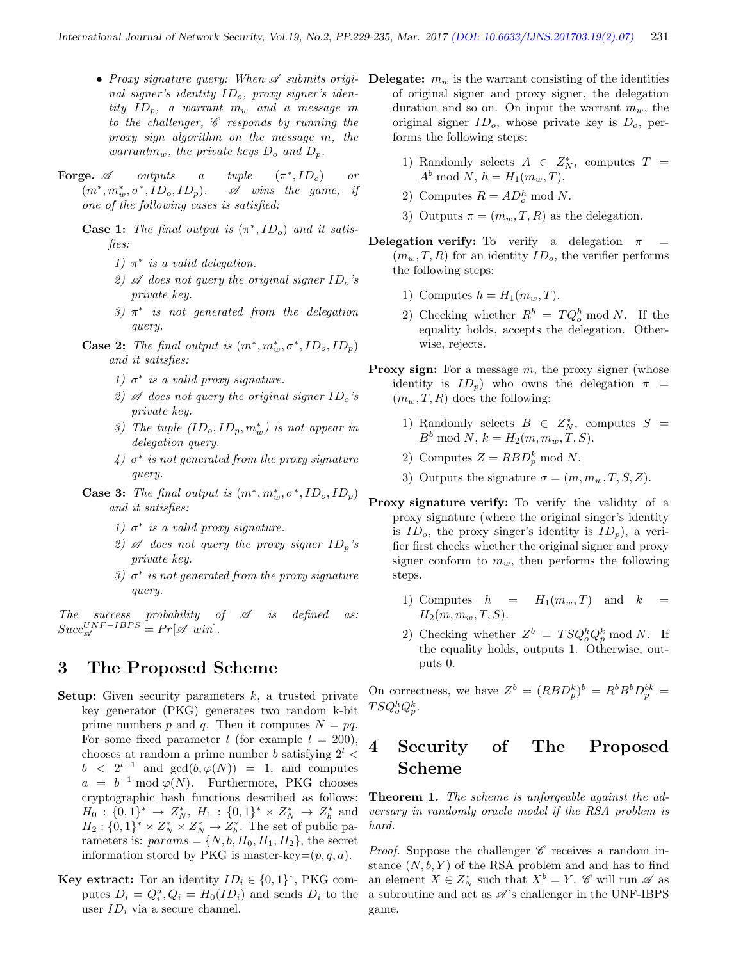- nal signer's identity  $ID<sub>o</sub>$ , proxy signer's identity  $ID_p$ , a warrant  $m_w$  and a message m to the challenger,  $\mathscr C$  responds by running the proxy sign algorithm on the message m, the warrantm<sub>w</sub>, the private keys  $D_o$  and  $D_p$ .
- Forge.  $\mathscr A$  outputs a tuple \*, $ID_o$ ) or  $(m^*,m^*_w,\sigma^*$  $\mathscr A$  wins the game, if one of the following cases is satisfied:
	- **Case 1:** The final output is  $(\pi^*, ID_o)$  and it satisfies:
		- 1)  $\pi^*$  is a valid delegation.
		- 2)  $\mathscr A$  does not query the original signer  $ID_o$ 's private key.
		- 3)  $\pi^*$  is not generated from the delegation query.
	- **Case 2:** The final output is  $(m^*, m_w^*, \sigma^*, ID_o, ID_p)$ and it satisfies:
		- 1)  $\sigma^*$  is a valid proxy signature.
		- 2)  $\mathscr A$  does not query the original signer  $ID_0$ 's private key.
		- 3) The tuple  $(ID_o, ID_p, m_w^*)$  is not appear in delegation query.
		- $\mathcal{L}(4)$   $\sigma^*$  is not generated from the proxy signature query.
	- **Case 3:** The final output is  $(m^*, m_w^*, \sigma^*, ID_o, ID_p)$ and it satisfies:
		- 1)  $\sigma^*$  is a valid proxy signature.
		- 2)  $\mathscr A$  does not query the proxy signer  $ID_p$ 's private key.
		- 3)  $\sigma^*$  is not generated from the proxy signature query.

The success probability of  $\mathscr A$  is defined as:  $Succ_{\mathscr{A}}^{UNF-IBPS} = Pr[\mathscr{A} \ \textit{win}].$ 

#### 3 The Proposed Scheme

- **Setup:** Given security parameters  $k$ , a trusted private key generator (PKG) generates two random k-bit prime numbers p and q. Then it computes  $N = pq$ . For some fixed parameter *l* (for example  $l = 200$ ), chooses at random a prime number b satisfying  $2^l$  <  $b < 2^{l+1}$  and  $gcd(b, \varphi(N)) = 1$ , and computes  $a = b^{-1} \mod \varphi(N)$ . Furthermore, PKG chooses cryptographic hash functions described as follows:  $H_0: \{0,1\}^* \to Z_N^*, H_1: \{0,1\}^* \times Z_N^* \to Z_b^*$  and  $H_2: \{0,1\}^* \times Z_N^* \times Z_N^* \to Z_b^*.$  The set of public parameters is:  $params = \{N, b, H_0, H_1, H_2\}$ , the secret information stored by PKG is master-key= $(p, q, a)$ .
- **Key extract:** For an identity  $ID_i \in \{0, 1\}^*$ , PKG computes  $D_i = Q_i^a$ ,  $Q_i = H_0(ID_i)$  and sends  $D_i$  to the user  $ID_i$  via a secure channel.
- Proxy signature query: When  $\mathscr A$  submits origi- Delegate:  $m_w$  is the warrant consisting of the identities of original signer and proxy signer, the delegation duration and so on. On input the warrant  $m_w$ , the original signer  $ID_o$ , whose private key is  $D_o$ , performs the following steps:
	- 1) Randomly selects  $A \in Z_N^*$ , computes  $T =$  $A^b \bmod N$ ,  $h = H_1(m_w, T)$ .
	- 2) Computes  $R = AD_o^h \text{ mod } N$ .
	- 3) Outputs  $\pi = (m_w, T, R)$  as the delegation.
	- **Delegation verify:** To verify a delegation  $\pi$  $(m_w, T, R)$  for an identity  $ID_o$ , the verifier performs the following steps:
		- 1) Computes  $h = H_1(m_w, T)$ .
		- 2) Checking whether  $R^b = T Q_o^h \text{ mod } N$ . If the equality holds, accepts the delegation. Otherwise, rejects.
	- **Proxy sign:** For a message  $m$ , the proxy signer (whose identity is  $ID_p$ ) who owns the delegation  $\pi$  =  $(m_w, T, R)$  does the following:
		- 1) Randomly selects  $B \in Z_N^*$ , computes  $S =$  $B^b \text{ mod } N, k = H_2(m, m_w, T, S).$
		- 2) Computes  $Z = RBD_p^k \text{ mod } N$ .
		- 3) Outputs the signature  $\sigma = (m, m_w, T, S, Z)$ .
	- Proxy signature verify: To verify the validity of a proxy signature (where the original singer's identity is  $ID_o$ , the proxy singer's identity is  $ID_p$ ), a verifier first checks whether the original signer and proxy signer conform to  $m_w$ , then performs the following steps.
		- 1) Computes  $h = H_1(m_w, T)$  and k  $H_2(m, m_w, T, S)$ .
		- 2) Checking whether  $Z^b = T S Q_o^h Q_p^k \text{ mod } N$ . If the equality holds, outputs 1. Otherwise, outputs 0.

On correctness, we have  $Z^b = (RBD_p^k)^b = R^bB^bD_p^{bk} =$  $TSQ_o^hQ_p^k.$ 

## 4 Security of The Proposed Scheme

Theorem 1. The scheme is unforgeable against the adversary in randomly oracle model if the RSA problem is hard.

*Proof.* Suppose the challenger  $\mathscr C$  receives a random instance  $(N, b, Y)$  of the RSA problem and and has to find an element  $X \in Z_N^*$  such that  $X^b = Y$ .  $\mathscr{C}$  will run  $\mathscr{A}$  as a subroutine and act as  $\mathscr{A}$ 's challenger in the UNF-IBPS game.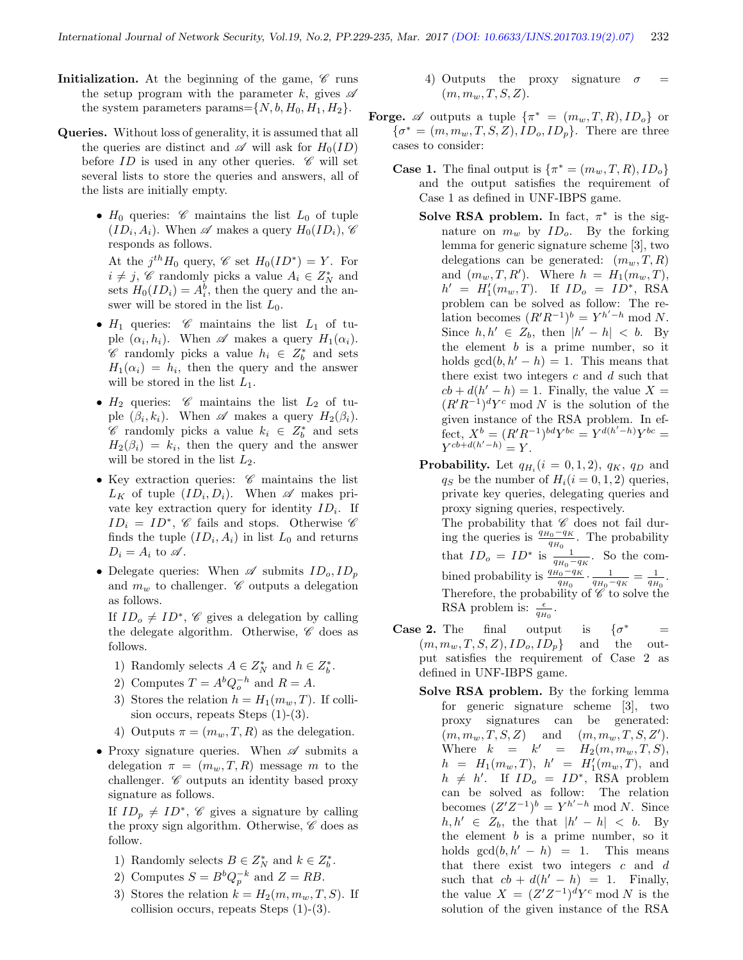- Initialization. At the beginning of the game,  $\mathscr C$  runs the setup program with the parameter k, gives  $\mathscr A$ the system parameters params= $\{N, b, H_0, H_1, H_2\}.$
- Queries. Without loss of generality, it is assumed that all the queries are distinct and  $\mathscr A$  will ask for  $H_0(ID)$ before  $ID$  is used in any other queries.  $\mathscr C$  will set several lists to store the queries and answers, all of the lists are initially empty.
	- $H_0$  queries:  $\mathscr C$  maintains the list  $L_0$  of tuple  $(ID_i, A_i)$ . When  $\mathscr A$  makes a query  $H_0(ID_i)$ ,  $\mathscr C$ responds as follows.

At the  $j^{th}H_0$  query,  $\mathscr C$  set  $H_0(ID^*) = Y$ . For  $i \neq j$ ,  $\mathscr{C}$  randomly picks a value  $A_i \in Z_N^*$  and sets  $H_0(ID_i) = A_i^b$ , then the query and the answer will be stored in the list  $L_0$ .

- $H_1$  queries:  $\mathscr C$  maintains the list  $L_1$  of tuple  $(\alpha_i, h_i)$ . When  $\mathscr A$  makes a query  $H_1(\alpha_i)$ .  $\mathscr{C}$  randomly picks a value  $h_i$  ∈  $Z_b^*$  and sets  $H_1(\alpha_i) = h_i$ , then the query and the answer will be stored in the list  $L_1$ .
- $H_2$  queries:  $\mathscr C$  maintains the list  $L_2$  of tuple  $(\beta_i, k_i)$ . When  $\mathscr A$  makes a query  $H_2(\beta_i)$ .  $\mathscr{C}$  randomly picks a value  $k_i$  ∈  $Z_b^*$  and sets  $H_2(\beta_i) = k_i$ , then the query and the answer will be stored in the list  $L_2$ .
- Key extraction queries:  $\mathscr C$  maintains the list  $L_K$  of tuple  $(ID_i, D_i)$ . When  $\mathscr A$  makes private key extraction query for identity  $ID_i$ . If  $ID_i = ID^*, \mathcal{C}$  fails and stops. Otherwise  $\mathcal{C}$ finds the tuple  $(ID_i, A_i)$  in list  $L_0$  and returns  $D_i = A_i$  to  $\mathscr A$ .
- Delegate queries: When  $\mathscr A$  submits  $ID_o, ID_p$ and  $m_w$  to challenger.  $\mathscr C$  outputs a delegation as follows.

If  $ID_o \neq ID^*$ , C gives a delegation by calling the delegate algorithm. Otherwise,  $\mathscr C$  does as follows.

- 1) Randomly selects  $A \in Z_N^*$  and  $h \in Z_b^*$ .
- 2) Computes  $T = A^b Q_o^{-h}$  and  $R = A$ .
- 3) Stores the relation  $h = H_1(m_w, T)$ . If collision occurs, repeats Steps (1)-(3).
- 4) Outputs  $\pi = (m_w, T, R)$  as the delegation.
- Proxy signature queries. When  $\mathscr A$  submits a delegation  $\pi = (m_w, T, R)$  message m to the challenger.  $\mathscr C$  outputs an identity based proxy signature as follows.

If  $ID_p \neq ID^*$ , C gives a signature by calling the proxy sign algorithm. Otherwise,  $\mathscr C$  does as follow.

- 1) Randomly selects  $B \in Z_N^*$  and  $k \in Z_b^*$ .
- 2) Computes  $S = B^b Q_p^{-k}$  and  $Z = RB$ .
- 3) Stores the relation  $k = H_2(m, m_w, T, S)$ . If collision occurs, repeats Steps (1)-(3).
- 4) Outputs the proxy signature  $\sigma$  =  $(m, m_w, T, S, Z).$
- **Forge.**  $\mathscr A$  outputs a tuple  $\{\pi^* = (m_w, T, R), ID_o\}$  or  $\{\sigma^* = (m, m_w, T, S, Z), ID_o, ID_p\}.$  There are three cases to consider:
	- **Case 1.** The final output is  $\{\pi^* = (m_w, T, R), ID_o\}$ and the output satisfies the requirement of Case 1 as defined in UNF-IBPS game.
		- Solve RSA problem. In fact,  $\pi^*$  is the signature on  $m_w$  by  $ID_o$ . By the forking lemma for generic signature scheme [3], two delegations can be generated:  $(m_w, T, R)$ and  $(m_w, T, R')$ . Where  $h = H_1(m_w, T)$ ,  $h' = H'_1(m_w, T)$ . If  $ID_o = ID^*$ , RSA problem can be solved as follow: The relation becomes  $(R'R^{-1})^b = Y^{h'-h} \mod N$ . Since  $h, h' \in Z_b$ , then  $|h' - h| < b$ . By the element  $b$  is a prime number, so it holds  $gcd(b, h' - h) = 1$ . This means that there exist two integers  $c$  and  $d$  such that  $cb + d(h' - h) = 1$ . Finally, the value  $X =$  $(R'R^{-1})^d Y^c$  mod N is the solution of the given instance of the RSA problem. In effect,  $X^b = (R'R^{-1})^{bd}Y^{bc} = Y^{d(h'-h)}Y^{bc} =$  $Y^{cb+d(h'-h)} = Y.$
		- **Probability.** Let  $q_{H_i}(i = 0, 1, 2)$ ,  $q_K$ ,  $q_D$  and  $q_S$  be the number of  $H_i(i = 0, 1, 2)$  queries, private key queries, delegating queries and proxy signing queries, respectively. The probability that  $\mathscr C$  does not fail during the queries is  $\frac{q_{H_0} - q_K}{q_{H_0}}$ . The probability that  $ID_o = ID^*$  is  $\frac{1}{q_{H_0}-q_K}$ . So the combined probability is  $\frac{q_{H_0} - q_K}{q_{H_0}} \cdot \frac{1}{q_{H_0} - q_K} = \frac{1}{q_{H_0}}$ . Therefore, the probability of  $\mathscr C$  to solve the RSA problem is:  $\frac{\epsilon}{q_{H_0}}$ .
	- **Case 2.** The final output is  $\{\sigma^*\}$  $=$  $(m, m_w, T, S, Z), ID_o, ID_n$  and the output satisfies the requirement of Case 2 as defined in UNF-IBPS game.
		- Solve RSA problem. By the forking lemma for generic signature scheme [3], two proxy signatures can be generated:  $(m, m_w, T, S, Z)$  and  $(m, m_w, T, S, Z').$ Where  $k = k' = H_2(m, m_w, T, S),$  $h = H_1(m_w, T), h' = H'_1(m_w, T), \text{ and}$  $h \neq h'$ . If  $ID_o = ID^*$ , RSA problem can be solved as follow: The relation becomes  $(Z'Z^{-1})^b = Y^{h'-h} \text{ mod } N$ . Since  $h, h' \in Z_b$ , the that  $|h' - h| < b$ . By the element  $b$  is a prime number, so it holds  $gcd(b, h' - h) = 1$ . This means that there exist two integers  $c$  and  $d$ such that  $cb + d(h' - h) = 1$ . Finally, the value  $X = (Z'Z^{-1})^d Y^c \text{ mod } N$  is the solution of the given instance of the RSA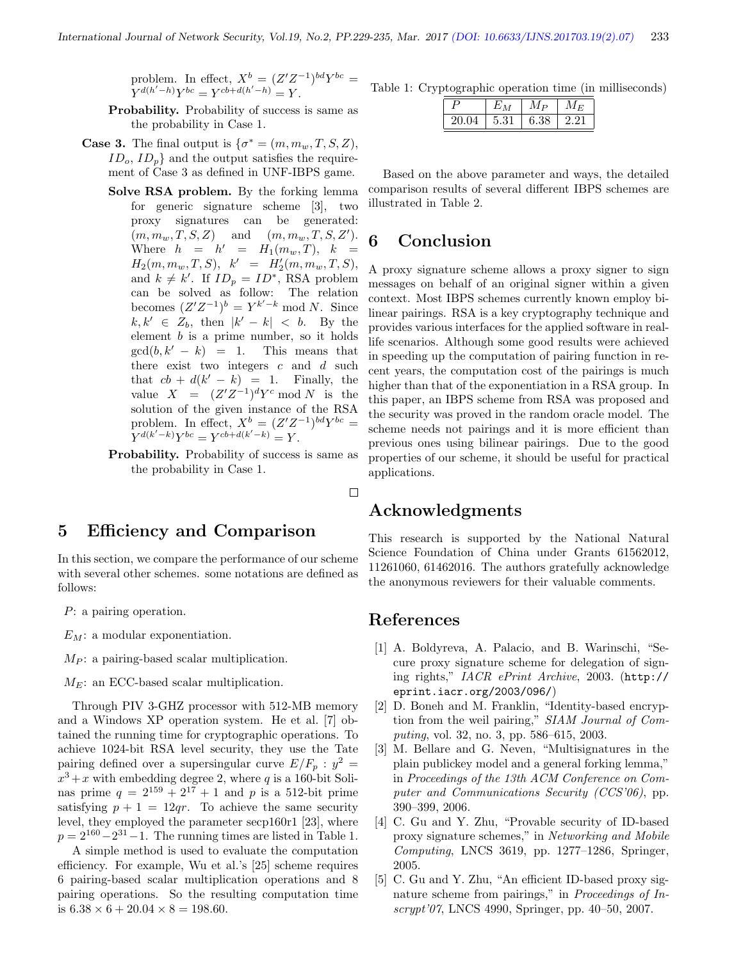problem. In effect,  $X^b = (Z'Z^{-1})^{bd}Y^{bc} =$  $Y^{d(h'-h)}Y^{bc} = Y^{cb+d(h'-h)} = Y.$ 

Probability. Probability of success is same as the probability in Case 1.

- **Case 3.** The final output is  $\{\sigma^* = (m, m_w, T, S, Z),\}$  $ID_o$ ,  $ID_p$ } and the output satisfies the requirement of Case 3 as defined in UNF-IBPS game.
	- Solve RSA problem. By the forking lemma for generic signature scheme [3], two proxy signatures can be generated:  $(m, m_w, T, S, Z)$  and  $(m, m_w, T, S, Z').$ Where  $h = h' = H_1(m_w, T), k =$  $H_2(m, m_w, T, S), \quad k' = H'_2(m, m_w, T, S),$ and  $k \neq k'$ . If  $ID_p = ID^*$ , RSA problem can be solved as follow: The relation becomes  $(Z'Z^{-1})^b = Y^{k'-k} \text{ mod } N$ . Since  $k, k' \in Z_b$ , then  $|k'-k| < b$ . By the element  $b$  is a prime number, so it holds  $gcd(b, k' - k) = 1$ . This means that there exist two integers  $c$  and  $d$  such that  $cb + d(k' - k) = 1$ . Finally, the value  $X = (Z'Z^{-1})^d Y^c \text{ mod } N$  is the solution of the given instance of the RSA problem. In effect,  $X^b = (Z'Z^{-1})^{bd}Y^{bc} =$  $Y^{d(k'-k)}Y^{bc} = Y^{cb+d(k'-k)} = Y.$
	- Probability. Probability of success is same as the probability in Case 1.

#### 5 Efficiency and Comparison

In this section, we compare the performance of our scheme with several other schemes. some notations are defined as follows:

P: a pairing operation.

 $E_M$ : a modular exponentiation.

 $M_P$ : a pairing-based scalar multiplication.

 $M_E$ : an ECC-based scalar multiplication.

Through PIV 3-GHZ processor with 512-MB memory and a Windows XP operation system. He et al. [7] obtained the running time for cryptographic operations. To achieve 1024-bit RSA level security, they use the Tate pairing defined over a supersingular curve  $E/F_p : y^2 =$  $x^3 + x$  with embedding degree 2, where q is a 160-bit Solinas prime  $q = 2^{159} + 2^{17} + 1$  and p is a 512-bit prime satisfying  $p + 1 = 12qr$ . To achieve the same security level, they employed the parameter secp160r1 [23], where  $p = 2^{160} - 2^{31} - 1$ . The running times are listed in Table 1.

A simple method is used to evaluate the computation efficiency. For example, Wu et al.'s [25] scheme requires 6 pairing-based scalar multiplication operations and 8 pairing operations. So the resulting computation time is  $6.38 \times 6 + 20.04 \times 8 = 198.60$ .

Table 1: Cryptographic operation time (in milliseconds)

| רז    |      | Мр   | М<br>F. |
|-------|------|------|---------|
| 20.04 | 5.31 | 6.38 |         |

Based on the above parameter and ways, the detailed comparison results of several different IBPS schemes are illustrated in Table 2.

### 6 Conclusion

A proxy signature scheme allows a proxy signer to sign messages on behalf of an original signer within a given context. Most IBPS schemes currently known employ bilinear pairings. RSA is a key cryptography technique and provides various interfaces for the applied software in reallife scenarios. Although some good results were achieved in speeding up the computation of pairing function in recent years, the computation cost of the pairings is much higher than that of the exponentiation in a RSA group. In this paper, an IBPS scheme from RSA was proposed and the security was proved in the random oracle model. The scheme needs not pairings and it is more efficient than previous ones using bilinear pairings. Due to the good properties of our scheme, it should be useful for practical applications.

#### $\Box$

#### Acknowledgments

This research is supported by the National Natural Science Foundation of China under Grants 61562012, 11261060, 61462016. The authors gratefully acknowledge the anonymous reviewers for their valuable comments.

#### References

- [1] A. Boldyreva, A. Palacio, and B. Warinschi, "Secure proxy signature scheme for delegation of signing rights," IACR ePrint Archive, 2003. (http:// eprint.iacr.org/2003/096/)
- [2] D. Boneh and M. Franklin, "Identity-based encryption from the weil pairing," SIAM Journal of Computing, vol. 32, no. 3, pp. 586–615, 2003.
- [3] M. Bellare and G. Neven, "Multisignatures in the plain publickey model and a general forking lemma," in Proceedings of the 13th ACM Conference on Computer and Communications Security (CCS'06), pp. 390–399, 2006.
- [4] C. Gu and Y. Zhu, "Provable security of ID-based proxy signature schemes," in Networking and Mobile Computing, LNCS 3619, pp. 1277–1286, Springer, 2005.
- [5] C. Gu and Y. Zhu, "An efficient ID-based proxy signature scheme from pairings," in Proceedings of Inscrypt'07, LNCS 4990, Springer, pp. 40–50, 2007.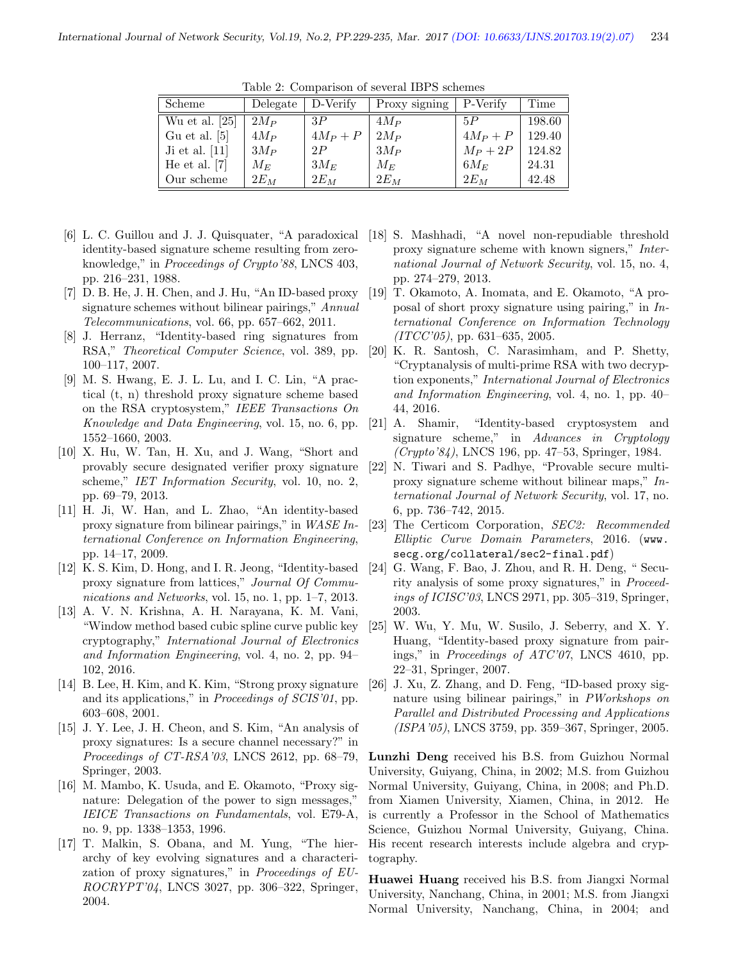| Scheme           | Delegate | D-Verify | Proxy signing | P-Verify   | Time   |
|------------------|----------|----------|---------------|------------|--------|
| Wu et al. $[25]$ | $2M_P$   | 3P       | $4M_P$        | 5P         | 198.60 |
| Gu et al. $[5]$  | $4M_P$   | $4M_P+P$ | $2M_P$        | $4M_P + P$ | 129.40 |
| Ji et al. $[11]$ | $3M_P$   | 2P       | $3M_P$        | $M_P + 2P$ | 124.82 |
| He et al. $[7]$  | $M_E$    | $3M_E$   | $M_E$         | $6M_E$     | 24.31  |
| Our scheme       | $2E_M$   | $2E_M$   | $2E_M$        | $2E_M$     | 42.48  |

Table 2: Comparison of several IBPS schemes

- [6] L. C. Guillou and J. J. Quisquater, "A paradoxical identity-based signature scheme resulting from zeroknowledge," in Proceedings of Crypto'88, LNCS 403, pp. 216–231, 1988.
- [7] D. B. He, J. H. Chen, and J. Hu, "An ID-based proxy signature schemes without bilinear pairings," Annual Telecommunications, vol. 66, pp. 657–662, 2011.
- [8] J. Herranz, "Identity-based ring signatures from RSA," *Theoretical Computer Science*, vol. 389, pp. 100–117, 2007.
- [9] M. S. Hwang, E. J. L. Lu, and I. C. Lin, "A practical (t, n) threshold proxy signature scheme based on the RSA cryptosystem," IEEE Transactions On Knowledge and Data Engineering, vol. 15, no. 6, pp. 1552–1660, 2003.
- [10] X. Hu, W. Tan, H. Xu, and J. Wang, "Short and provably secure designated verifier proxy signature scheme," IET Information Security, vol. 10, no. 2, pp. 69–79, 2013.
- [11] H. Ji, W. Han, and L. Zhao, "An identity-based proxy signature from bilinear pairings," in WASE International Conference on Information Engineering, pp. 14–17, 2009.
- [12] K. S. Kim, D. Hong, and I. R. Jeong, "Identity-based proxy signature from lattices," Journal Of Communications and Networks, vol. 15, no. 1, pp. 1–7, 2013.
- [13] A. V. N. Krishna, A. H. Narayana, K. M. Vani, "Window method based cubic spline curve public key cryptography," International Journal of Electronics and Information Engineering, vol. 4, no. 2, pp. 94– 102, 2016.
- [14] B. Lee, H. Kim, and K. Kim, "Strong proxy signature and its applications," in Proceedings of SCIS'01, pp. 603–608, 2001.
- [15] J. Y. Lee, J. H. Cheon, and S. Kim, "An analysis of proxy signatures: Is a secure channel necessary?" in Proceedings of CT-RSA'03, LNCS 2612, pp. 68–79, Springer, 2003.
- [16] M. Mambo, K. Usuda, and E. Okamoto, "Proxy signature: Delegation of the power to sign messages," IEICE Transactions on Fundamentals, vol. E79-A, no. 9, pp. 1338–1353, 1996.
- [17] T. Malkin, S. Obana, and M. Yung, "The hierarchy of key evolving signatures and a characterization of proxy signatures," in Proceedings of EU-ROCRYPT'04, LNCS 3027, pp. 306–322, Springer, 2004.
- [18] S. Mashhadi, "A novel non-repudiable threshold proxy signature scheme with known signers," International Journal of Network Security, vol. 15, no. 4, pp. 274–279, 2013.
- [19] T. Okamoto, A. Inomata, and E. Okamoto, "A proposal of short proxy signature using pairing," in International Conference on Information Technology  $(ITCC'05)$ , pp. 631–635, 2005.
- [20] K. R. Santosh, C. Narasimham, and P. Shetty, "Cryptanalysis of multi-prime RSA with two decryption exponents," International Journal of Electronics and Information Engineering, vol. 4, no. 1, pp. 40– 44, 2016.
- [21] A. Shamir, "Identity-based cryptosystem and signature scheme," in Advances in Cryptology (Crypto'84), LNCS 196, pp. 47–53, Springer, 1984.
- [22] N. Tiwari and S. Padhye, "Provable secure multiproxy signature scheme without bilinear maps," International Journal of Network Security, vol. 17, no. 6, pp. 736–742, 2015.
- [23] The Certicom Corporation, SEC2: Recommended Elliptic Curve Domain Parameters, 2016. (www. secg.org/collateral/sec2-final.pdf)
- [24] G. Wang, F. Bao, J. Zhou, and R. H. Deng, " Security analysis of some proxy signatures," in Proceedings of ICISC'03, LNCS 2971, pp. 305–319, Springer, 2003.
- [25] W. Wu, Y. Mu, W. Susilo, J. Seberry, and X. Y. Huang, "Identity-based proxy signature from pairings," in Proceedings of ATC'07, LNCS 4610, pp. 22–31, Springer, 2007.
- [26] J. Xu, Z. Zhang, and D. Feng, "ID-based proxy signature using bilinear pairings," in PWorkshops on Parallel and Distributed Processing and Applications (ISPA'05), LNCS 3759, pp. 359–367, Springer, 2005.

Lunzhi Deng received his B.S. from Guizhou Normal University, Guiyang, China, in 2002; M.S. from Guizhou Normal University, Guiyang, China, in 2008; and Ph.D. from Xiamen University, Xiamen, China, in 2012. He is currently a Professor in the School of Mathematics Science, Guizhou Normal University, Guiyang, China. His recent research interests include algebra and cryptography.

Huawei Huang received his B.S. from Jiangxi Normal University, Nanchang, China, in 2001; M.S. from Jiangxi Normal University, Nanchang, China, in 2004; and